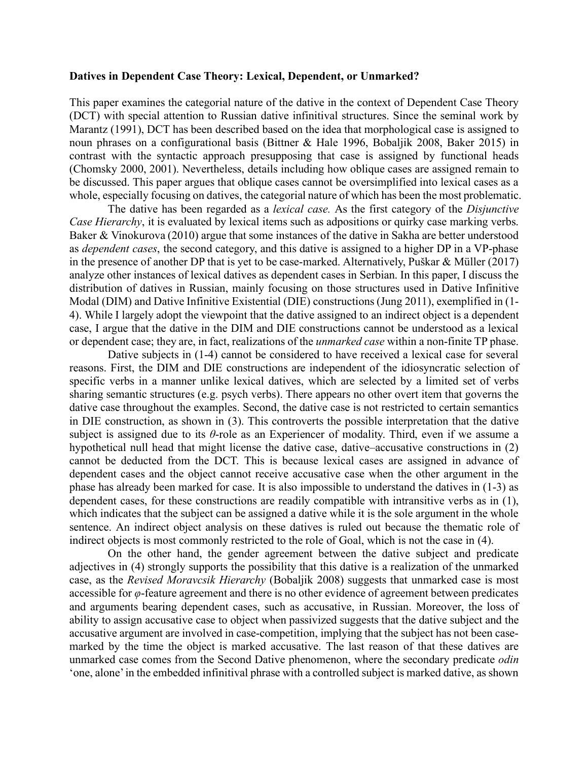## **Datives in Dependent Case Theory: Lexical, Dependent, or Unmarked?**

This paper examines the categorial nature of the dative in the context of Dependent Case Theory (DCT) with special attention to Russian dative infinitival structures. Since the seminal work by Marantz (1991), DCT has been described based on the idea that morphological case is assigned to noun phrases on a configurational basis (Bittner & Hale 1996, Bobaljik 2008, Baker 2015) in contrast with the syntactic approach presupposing that case is assigned by functional heads (Chomsky 2000, 2001). Nevertheless, details including how oblique cases are assigned remain to be discussed. This paper argues that oblique cases cannot be oversimplified into lexical cases as a whole, especially focusing on datives, the categorial nature of which has been the most problematic.

The dative has been regarded as a *lexical case.* As the first category of the *Disjunctive Case Hierarchy*, it is evaluated by lexical items such as adpositions or quirky case marking verbs. Baker & Vinokurova (2010) argue that some instances of the dative in Sakha are better understood as *dependent cases*, the second category, and this dative is assigned to a higher DP in a VP-phase in the presence of another DP that is yet to be case-marked. Alternatively, Puškar & Müller (2017) analyze other instances of lexical datives as dependent cases in Serbian. In this paper, I discuss the distribution of datives in Russian, mainly focusing on those structures used in Dative Infinitive Modal (DIM) and Dative Infinitive Existential (DIE) constructions (Jung 2011), exemplified in (1- 4). While I largely adopt the viewpoint that the dative assigned to an indirect object is a dependent case, I argue that the dative in the DIM and DIE constructions cannot be understood as a lexical or dependent case; they are, in fact, realizations of the *unmarked case* within a non-finite TP phase.

Dative subjects in (1-4) cannot be considered to have received a lexical case for several reasons. First, the DIM and DIE constructions are independent of the idiosyncratic selection of specific verbs in a manner unlike lexical datives, which are selected by a limited set of verbs sharing semantic structures (e.g. psych verbs). There appears no other overt item that governs the dative case throughout the examples. Second, the dative case is not restricted to certain semantics in DIE construction, as shown in (3). This controverts the possible interpretation that the dative subject is assigned due to its *θ*-role as an Experiencer of modality. Third, even if we assume a hypothetical null head that might license the dative case, dative–accusative constructions in (2) cannot be deducted from the DCT. This is because lexical cases are assigned in advance of dependent cases and the object cannot receive accusative case when the other argument in the phase has already been marked for case. It is also impossible to understand the datives in (1-3) as dependent cases, for these constructions are readily compatible with intransitive verbs as in (1), which indicates that the subject can be assigned a dative while it is the sole argument in the whole sentence. An indirect object analysis on these datives is ruled out because the thematic role of indirect objects is most commonly restricted to the role of Goal, which is not the case in (4).

On the other hand, the gender agreement between the dative subject and predicate adjectives in (4) strongly supports the possibility that this dative is a realization of the unmarked case, as the *Revised Moravcsik Hierarchy* (Bobaljik 2008) suggests that unmarked case is most accessible for *φ*-feature agreement and there is no other evidence of agreement between predicates and arguments bearing dependent cases, such as accusative, in Russian. Moreover, the loss of ability to assign accusative case to object when passivized suggests that the dative subject and the accusative argument are involved in case-competition, implying that the subject has not been casemarked by the time the object is marked accusative. The last reason of that these datives are unmarked case comes from the Second Dative phenomenon, where the secondary predicate *odin* 'one, alone' in the embedded infinitival phrase with a controlled subject is marked dative, as shown